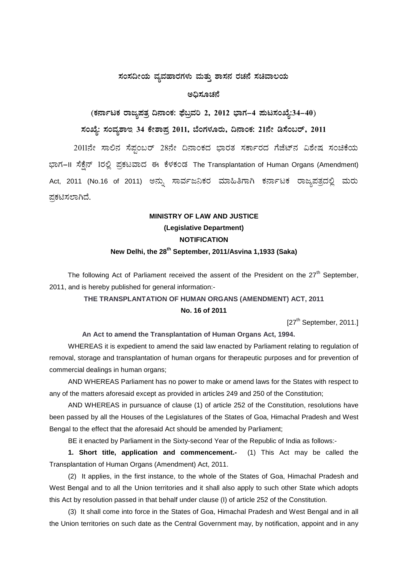#### $\pi$ ನಂಸದೀಯ ವ್ಯವಹಾರಗಳು ಮತ್ತು ಶಾಸನ ರಚನೆ ಸಚಿವಾಲಯ

#### **C¢ü¸ÀÆZÀ£É**

# **(PÀ£ÁðlPÀ gÁdå¥ÀvÀæ ¢£ÁAPÀ: ¥sɧæªÀj 2, 2012 ¨sÁUÀ-4 ¥ÀÄl¸ÀASÉå:34-40)**

## **¸ÀASÉå: ¸ÀAªÀå±ÁE 34 PÉñÁ¥Àæ 2011, ¨ÉAUÀ¼ÀÆgÀÄ, ¢£ÁAPÀ: 21£Éà r¸ÉA§gï, 2011**

2011ನೇ ಸಾಲಿನ ಸೆಪ್ಪಂಬರ್ 28ನೇ ದಿನಾಂಕದ ಭಾರತ ಸರ್ಕಾರದ ಗೆಜೆಟ್ನ ವಿಶೇಷ ಸಂಚಿಕೆಯ ಭಾಗ-II ಸೆಕ್ಸೆನ್ 1ರಲ್ಲಿ ಪ್ರಕಟವಾದ ಈ ಕೆಳಕಂಡ The Transplantation of Human Organs (Amendment) Act, 2011 (No.16 of 2011) ಅನ್ನು ಸಾರ್ವಜನಿಕರ ಮಾಹಿತಿಗಾಗಿ ಕರ್ನಾಟಕ ರಾಜ್ಮಪತ್ರದಲ್ಲಿ ಮರು ಪ್ರಕಟಿಸಲಾಗಿದೆ.

## **MINISTRY OF LAW AND JUSTICE (Legislative Department) NOTIFICATION New Delhi, the 28th September, 2011/Asvina 1,1933 (Saka)**

The following Act of Parliament received the assent of the President on the  $27<sup>th</sup>$  September, 2011, and is hereby published for general information:-

#### **THE TRANSPLANTATION OF HUMAN ORGANS (AMENDMENT) ACT, 2011**

#### **No. 16 of 2011**

[27<sup>th</sup> September, 2011.]

#### **An Act to amend the Transplantation of Human Organs Act, 1994.**

WHEREAS it is expedient to amend the said law enacted by Parliament relating to regulation of removal, storage and transplantation of human organs for therapeutic purposes and for prevention of commercial dealings in human organs;

AND WHEREAS Parliament has no power to make or amend laws for the States with respect to any of the matters aforesaid except as provided in articles 249 and 250 of the Constitution;

AND WHEREAS in pursuance of clause (1) of article 252 of the Constitution, resolutions have been passed by all the Houses of the Legislatures of the States of Goa, Himachal Pradesh and West Bengal to the effect that the aforesaid Act should be amended by Parliament;

BE it enacted by Parliament in the Sixty-second Year of the Republic of India as follows:-

**1. Short title, application and commencement.-** (1) This Act may be called the Transplantation of Human Organs (Amendment) Act, 2011.

(2) It applies, in the first instance, to the whole of the States of Goa, Himachal Pradesh and West Bengal and to all the Union territories and it shall also apply to such other State which adopts this Act by resolution passed in that behalf under clause (I) of article 252 of the Constitution.

(3) It shall come into force in the States of Goa, Himachal Pradesh and West Bengal and in all the Union territories on such date as the Central Government may, by notification, appoint and in any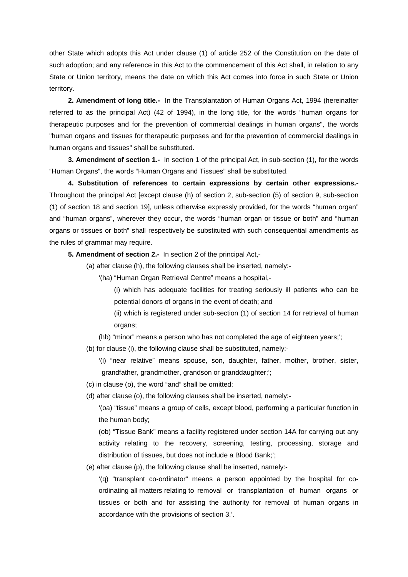other State which adopts this Act under clause (1) of article 252 of the Constitution on the date of such adoption; and any reference in this Act to the commencement of this Act shall, in relation to any State or Union territory, means the date on which this Act comes into force in such State or Union territory.

**2. Amendment of long title.-** In the Transplantation of Human Organs Act, 1994 (hereinafter referred to as the principal Act) (42 of 1994), in the long title, for the words "human organs for therapeutic purposes and for the prevention of commercial dealings in human organs", the words "human organs and tissues for therapeutic purposes and for the prevention of commercial dealings in human organs and tissues" shall be substituted.

**3. Amendment of section 1.-** In section 1 of the principal Act, in sub-section (1), for the words "Human Organs", the words "Human Organs and Tissues" shall be substituted.

**4. Substitution of references to certain expressions by certain other expressions.-** Throughout the principal Act [except clause (h) of section 2, sub-section (5) of section 9, sub-section (1) of section 18 and section 19], unless otherwise expressly provided, for the words "human organ" and "human organs", wherever they occur, the words "human organ or tissue or both" and "human organs or tissues or both" shall respectively be substituted with such consequential amendments as the rules of grammar may require.

**5. Amendment of section 2.-** In section 2 of the principal Act,-

- (a) after clause (h), the following clauses shall be inserted, namely:-
	- '(ha) "Human Organ Retrieval Centre" means a hospital,-
		- (i) which has adequate facilities for treating seriously ill patients who can be potential donors of organs in the event of death; and
		- (ii) which is registered under sub-section (1) of section 14 for retrieval of human organs;
	- (hb) "minor" means a person who has not completed the age of eighteen years;';
- (b) for clause (i), the following clause shall be substituted, namely:-
	- '(i) "near relative" means spouse, son, daughter, father, mother, brother, sister, grandfather, grandmother, grandson or granddaughter;';
- (c) in clause (o), the word "and" shall be omitted;
- (d) after clause (o), the following clauses shall be inserted, namely:-

'(oa) "tissue" means a group of cells, except blood, performing a particular function in the human body;

(ob) "Tissue Bank" means a facility registered under section 14A for carrying out any activity relating to the recovery, screening, testing, processing, storage and distribution of tissues, but does not include a Blood Bank;';

(e) after clause (p), the following clause shall be inserted, namely:-

'(q) "transplant co-ordinator" means a person appointed by the hospital for coordinating all matters relating to removal or transplantation of human organs or tissues or both and for assisting the authority for removal of human organs in accordance with the provisions of section 3.'.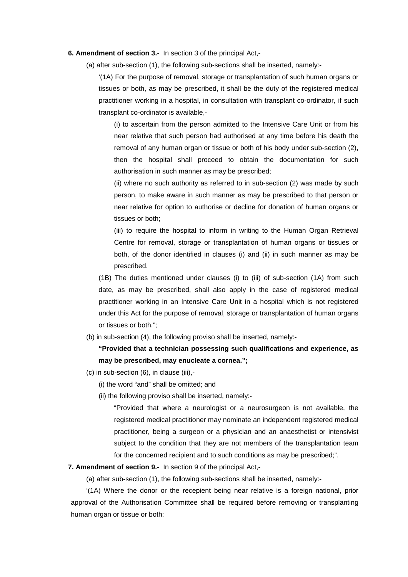#### **6. Amendment of section 3.-** In section 3 of the principal Act,-

(a) after sub-section (1), the following sub-sections shall be inserted, namely:-

'(1A) For the purpose of removal, storage or transplantation of such human organs or tissues or both, as may be prescribed, it shall be the duty of the registered medical practitioner working in a hospital, in consultation with transplant co-ordinator, if such transplant co-ordinator is available,-

(i) to ascertain from the person admitted to the Intensive Care Unit or from his near relative that such person had authorised at any time before his death the removal of any human organ or tissue or both of his body under sub-section (2), then the hospital shall proceed to obtain the documentation for such authorisation in such manner as may be prescribed;

(ii) where no such authority as referred to in sub-section (2) was made by such person, to make aware in such manner as may be prescribed to that person or near relative for option to authorise or decline for donation of human organs or tissues or both;

(iii) to require the hospital to inform in writing to the Human Organ Retrieval Centre for removal, storage or transplantation of human organs or tissues or both, of the donor identified in clauses (i) and (ii) in such manner as may be prescribed.

(1B) The duties mentioned under clauses (i) to (iii) of sub-section (1A) from such date, as may be prescribed, shall also apply in the case of registered medical practitioner working in an Intensive Care Unit in a hospital which is not registered under this Act for the purpose of removal, storage or transplantation of human organs or tissues or both.";

(b) in sub-section (4), the following proviso shall be inserted, namely:-

### **"Provided that a technician possessing such qualifications and experience, as may be prescribed, may enucleate a cornea.";**

- (c) in sub-section (6), in clause (iii),-
	- (i) the word "and" shall be omitted; and
	- (ii) the following proviso shall be inserted, namely:-

"Provided that where a neurologist or a neurosurgeon is not available, the registered medical practitioner may nominate an independent registered medical practitioner, being a surgeon or a physician and an anaesthetist or intensivist subject to the condition that they are not members of the transplantation team for the concerned recipient and to such conditions as may be prescribed;".

#### **7. Amendment of section 9.-** In section 9 of the principal Act,-

(a) after sub-section (1), the following sub-sections shall be inserted, namely:-

'(1A) Where the donor or the recepient being near relative is a foreign national, prior approval of the Authorisation Committee shall be required before removing or transplanting human organ or tissue or both: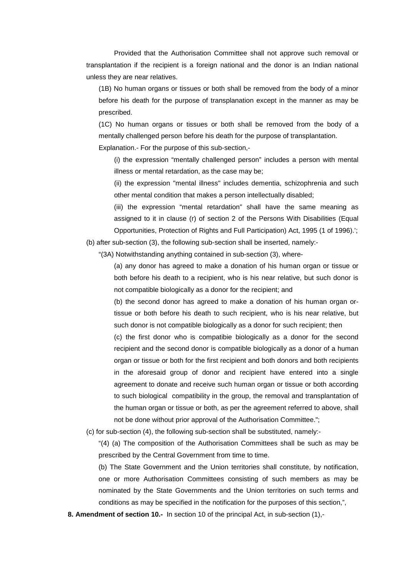Provided that the Authorisation Committee shall not approve such removal or transplantation if the recipient is a foreign national and the donor is an Indian national unless they are near relatives.

(1B) No human organs or tissues or both shall be removed from the body of a minor before his death for the purpose of transplanation except in the manner as may be prescribed.

(1C) No human organs or tissues or both shall be removed from the body of a mentally challenged person before his death for the purpose of transplantation.

Explanation.- For the purpose of this sub-section,-

(i) the expression "mentally challenged person" includes a person with mental illness or mental retardation, as the case may be;

(ii) the expression "mental illness" includes dementia, schizophrenia and such other mental condition that makes a person intellectually disabled;

(iii) the expression "mental retardation" shall have the same meaning as assigned to it in clause (r) of section 2 of the Persons With Disabilities (Equal Opportunities, Protection of Rights and Full Participation) Act, 1995 (1 of 1996).';

(b) after sub-section (3), the following sub-section shall be inserted, namely:-

"(3A) Notwithstanding anything contained in sub-section (3), where-

(a) any donor has agreed to make a donation of his human organ or tissue or both before his death to a recipient, who is his near relative, but such donor is not compatible biologically as a donor for the recipient; and

(b) the second donor has agreed to make a donation of his human organ ortissue or both before his death to such recipient, who is his near relative, but such donor is not compatible biologically as a donor for such recipient; then

(c) the first donor who is compatibie biologically as a donor for the second recipient and the second donor is compatible biologically as a donor of a human organ or tissue or both for the first recipient and both donors and both recipients in the aforesaid group of donor and recipient have entered into a single agreement to donate and receive such human organ or tissue or both according to such biological compatibility in the group, the removal and transplantation of the human organ or tissue or both, as per the agreement referred to above, shall not be done without prior approval of the Authorisation Committee.";

(c) for sub-section (4), the following sub-section shall be substituted, namely:-

"(4) (a) The composition of the Authorisation Committees shall be such as may be prescribed by the Central Government from time to time.

(b) The State Government and the Union territories shall constitute, by notification, one or more Authorisation Committees consisting of such members as may be nominated by the State Governments and the Union territories on such terms and conditions as may be specified in the notification for the purposes of this section,",

**8. Amendment of section 10.-** In section 10 of the principal Act, in sub-section (1),-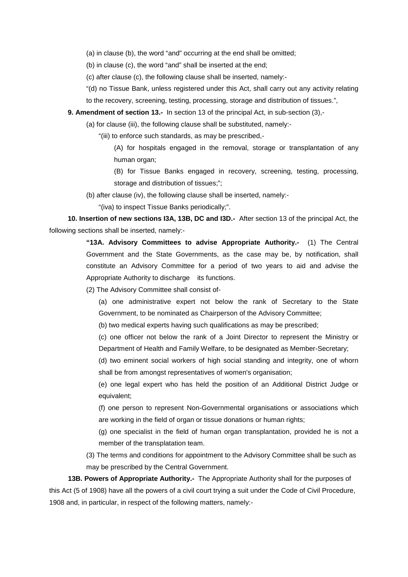(a) in clause (b), the word "and" occurring at the end shall be omitted;

(b) in clause (c), the word "and" shall be inserted at the end;

(c) after clause (c), the following clause shall be inserted, namely:-

"(d) no Tissue Bank, unless registered under this Act, shall carry out any activity relating to the recovery, screening, testing, processing, storage and distribution of tissues.",

**9. Amendment of section 13.-** In section 13 of the principal Act, in sub-section (3),-

(a) for clause (iii), the following clause shall be substituted, namely:-

"(iii) to enforce such standards, as may be prescribed,-

(A) for hospitals engaged in the removal, storage or transplantation of any human organ;

(B) for Tissue Banks engaged in recovery, screening, testing, processing, storage and distribution of tissues;";

(b) after clause (iv), the following clause shall be inserted, namely:-

"(iva) to inspect Tissue Banks periodically;".

**10. Insertion of new sections I3A, 13B, DC and I3D.-** After section 13 of the principal Act, the following sections shall be inserted, namely:-

> **"13A. Advisory Committees to advise Appropriate Authority.-** (1) The Central Government and the State Governments, as the case may be, by notification, shall constitute an Advisory Committee for a period of two years to aid and advise the Appropriate Authority to discharge its functions.

(2) The Advisory Committee shall consist of-

(a) one administrative expert not below the rank of Secretary to the State Government, to be nominated as Chairperson of the Advisory Committee;

(b) two medical experts having such qualifications as may be prescribed;

(c) one officer not below the rank of a Joint Director to represent the Ministry or Department of Health and Family Welfare, to be designated as Member-Secretary;

(d) two eminent social workers of high social standing and integrity, one of whorn shall be from amongst representatives of women's organisation;

(e) one legal expert who has held the position of an Additional District Judge or equivalent;

(f) one person to represent Non-Governmental organisations or associations which are working in the field of organ or tissue donations or human rights;

(g) one specialist in the field of human organ transplantation, provided he is not a member of the transplatation team.

(3) The terms and conditions for appointment to the Advisory Committee shall be such as may be prescribed by the Central Government.

**13B. Powers of Appropriate Authority.-** The Appropriate Authority shall for the purposes of this Act (5 of 1908) have all the powers of a civil court trying a suit under the Code of Civil Procedure, 1908 and, in particular, in respect of the following matters, namely:-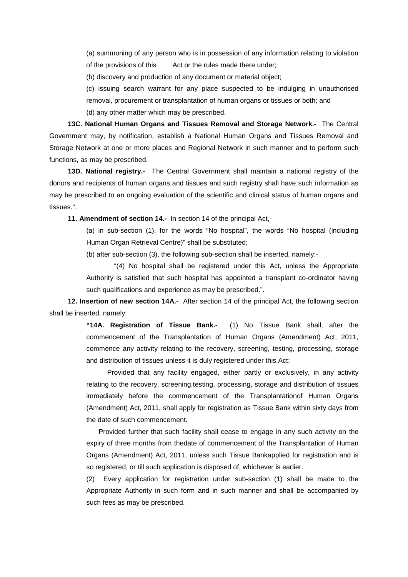(a) summoning of any person who is in possession of any information relating to violation of the provisions of this Act or the rules made there under;

(b) discovery and production of any document or material object;

(c) issuing search warrant for any place suspected to be indulging in unauthorised removal, procurement or transplantation of human organs or tissues or both; and

(d) any other matter which may be prescribed.

**13C. National Human Organs and Tissues Removal and Storage Network.-** The Central Government may, by notification, establish a National Human Organs and Tissues Removal and Storage Network at one or more places and Regional Network in such manner and to perform such functions, as may be prescribed.

**13D. National registry.-** The Central Government shall maintain a national registry of the donors and recipients of human organs and tissues and such registry shall have such information as may be prescribed to an ongoing evaluation of the scientific and clinical status of human organs and tissues.".

**11. Amendment of section 14.-** In section 14 of the principal Act,-

(a) in sub-section (1), for the words "No hospital", the words "No hospital (including Human Organ Retrieval Centre)" shall be substituted;

(b) after sub-section (3), the following sub-section shall be inserted, namely:-

"(4) No hospital shall be registered under this Act, unless the Appropriate Authority is satisfied that such hospital has appointed a transplant co-ordinator having such qualifications and experience as may be prescribed.".

**12. Insertion of new section 14A.-** After section 14 of the principal Act, the following section shall be inserted, namely:

> **"14A. Registration of Tissue Bank.-** (1) No Tissue Bank shall, after the commencement of the Transplantation of Human Organs (Amendment) Act, 2011, commence any activity relating to the recovery, screening, testing, processing, storage and distribution of tissues unless it is duly registered under this Act:

> Provided that any facility engaged, either partly or exclusively, in any activity relating to the recovery, screening,testing, processing, storage and distribution of tissues immediately before the commencement of the Transplantationof Human Organs (Amendment) Act, 2011, shall apply for registration as Tissue Bank within sixty days from the date of such commencement.

> Provided further that such facility shall cease to engage in any such activity on the expiry of three months from thedate of commencement of the Transplantation of Human Organs (Amendment) Act, 2011, unless such Tissue Bankapplied for registration and is so registered, or till such application is disposed of, whichever is earlier.

> (2) Every application for registration under sub-section (1) shall be made to the Appropriate Authority in such form and in such manner and shall be accompanied by such fees as may be prescribed.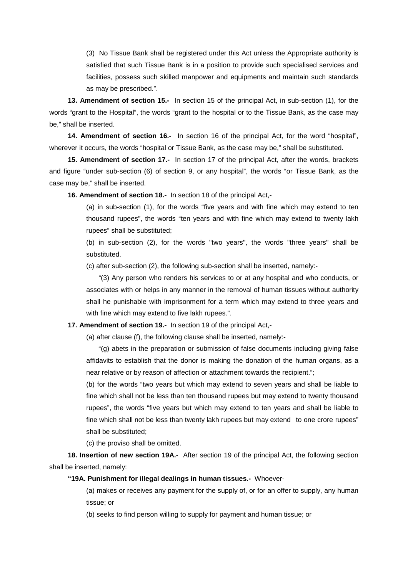(3) No Tissue Bank shall be registered under this Act unless the Appropriate authority is satisfied that such Tissue Bank is in a position to provide such specialised services and facilities, possess such skilled manpower and equipments and maintain such standards as may be prescribed.".

**13. Amendment of section 15.-** In section 15 of the principal Act, in sub-section (1), for the words "grant to the Hospital", the words "grant to the hospital or to the Tissue Bank, as the case may be," shall be inserted.

**14. Amendment of section 16.-** In section 16 of the principal Act, for the word "hospital", wherever it occurs, the words "hospital or Tissue Bank, as the case may be," shall be substituted.

**15. Amendment of section 17.-** In section 17 of the principal Act, after the words, brackets and figure "under sub-section (6) of section 9, or any hospital", the words "or Tissue Bank, as the case may be," shall be inserted.

**16. Amendment of section 18.-** In section 18 of the principal Act,-

(a) in sub-section (1), for the words "five years and with fine which may extend to ten thousand rupees", the words "ten years and with fine which may extend to twenty lakh rupees" shall be substituted;

(b) in sub-section (2), for the words "two years", the words "three years" shall be substituted.

(c) after sub-section (2), the following sub-section shall be inserted, namely:-

"(3) Any person who renders his services to or at any hospital and who conducts, or associates with or helps in any manner in the removal of human tissues without authority shall he punishable with imprisonment for a term which may extend to three years and with fine which may extend to five lakh rupees.".

**17. Amendment of section 19.-** In section 19 of the principal Act,-

(a) after clause (f), the following clause shall be inserted, namely:-

"(g) abets in the preparation or submission of false documents including giving false affidavits to establish that the donor is making the donation of the human organs, as a near relative or by reason of affection or attachment towards the recipient.";

(b) for the words "two years but which may extend to seven years and shall be liable to fine which shall not be less than ten thousand rupees but may extend to twenty thousand rupees", the words "five years but which may extend to ten years and shall be liable to fine which shall not be less than twenty lakh rupees but may extend to one crore rupees" shall be substituted;

(c) the proviso shall be omitted.

**18. Insertion of new section 19A.-** After section 19 of the principal Act, the following section shall be inserted, namely:

#### **"19A. Punishment for illegal dealings in human tissues.-** Whoever-

(a) makes or receives any payment for the supply of, or for an offer to supply, any human tissue; or

(b) seeks to find person willing to supply for payment and human tissue; or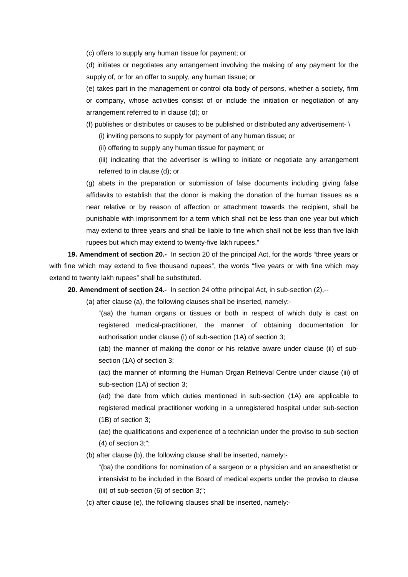(c) offers to supply any human tissue for payment; or

(d) initiates or negotiates any arrangement involving the making of any payment for the supply of, or for an offer to supply, any human tissue; or

(e) takes part in the management or control ofa body of persons, whether a society, firm or company, whose activities consist of or include the initiation or negotiation of any arrangement referred to in clause (d); or

(f) publishes or distributes or causes to be published or distributed any advertisement- \

(i) inviting persons to supply for payment of any human tissue; or

(ii) offering to supply any human tissue for payment; or

(iii) indicating that the advertiser is willing to initiate or negotiate any arrangement referred to in clause (d); or

(g) abets in the preparation or submission of false documents including giving false affidavits to establish that the donor is making the donation of the human tissues as a near relative or by reason of affection or attachment towards the recipient, shall be punishable with imprisonment for a term which shall not be less than one year but which may extend to three years and shall be liable to fine which shall not be less than five lakh rupees but which may extend to twenty-five lakh rupees."

**19. Amendment of section 20.-** In section 20 of the principal Act, for the words "three years or with fine which may extend to five thousand rupees", the words "five years or with fine which may extend to twenty lakh rupees" shall be substituted.

**20. Amendment of section 24.-** In section 24 ofthe principal Act, in sub-section (2),--

(a) after clause (a), the following clauses shall be inserted, namely:-

"(aa) the human organs or tissues or both in respect of which duty is cast on registered medical-practitioner, the manner of obtaining documentation for authorisation under clause (i) of sub-section (1A) of section 3;

(ab) the manner of making the donor or his relative aware under clause (ii) of subsection (1A) of section 3;

(ac) the manner of informing the Human Organ Retrieval Centre under clause (iii) of sub-section (1A) of section 3;

(ad) the date from which duties mentioned in sub-section (1A) are applicable to registered medical practitioner working in a unregistered hospital under sub-section (1B) of section 3;

(ae) the qualifications and experience of a technician under the proviso to sub-section (4) of section 3;";

(b) after clause (b), the following clause shall be inserted, namely:-

"(ba) the conditions for nomination of a sargeon or a physician and an anaesthetist or intensivist to be included in the Board of medical experts under the proviso to clause (iii) of sub-section (6) of section 3;";

(c) after clause (e), the following clauses shall be inserted, namely:-